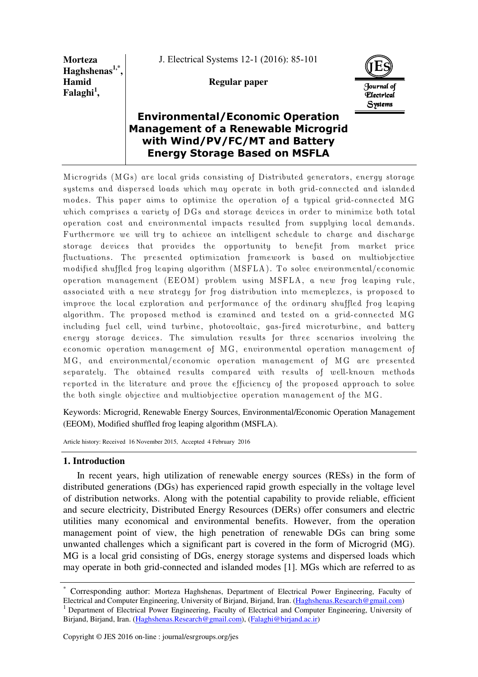**Morteza Haghshenas1,\* , Hamid Falaghi<sup>1</sup> ,** 

J. Electrical Systems 12-1 (2016): 85-101

# **Regular paper**



# **Environmental/Economic Operation Management of a Renewable Microgrid with Wind/PV/FC/MT and Battery Energy Storage Based on MSFLA**

Microgrids (MGs) are local grids consisting of Distributed generators, energy storage systems and dispersed loads which may operate in both grid-connected and islanded modes. This paper aims to optimize the operation of a typical grid-connected MG which comprises a variety of DGs and storage devices in order to minimize both total operation cost and environmental impacts resulted from supplying local demands. Furthermore we will try to achieve an intelligent schedule to charge and discharge storage devices that provides the opportunity to benefit from market price fluctuations. The presented optimization framework is based on multiobjective modified shuffled frog leaping algorithm (MSFLA). To solve environmental/economic operation management (EEOM) problem using MSFLA, a new frog leaping rule, associated with a new strategy for frog distribution into memeplexes, is proposed to improve the local exploration and performance of the ordinary shuffled frog leaping algorithm. The proposed method is examined and tested on a grid-connected MG including fuel cell, wind turbine, photovoltaic, gas-fired microturbine, and battery energy storage devices. The simulation results for three scenarios involving the economic operation management of MG, environmental operation management of MG, and environmental/economic operation management of MG are presented separately. The obtained results compared with results of well-known methods reported in the literature and prove the efficiency of the proposed approach to solve the both single objective and multiobjective operation management of the MG.

Keywords: Microgrid, Renewable Energy Sources, Environmental/Economic Operation Management (EEOM), Modified shuffled frog leaping algorithm (MSFLA).

Article history: Received 16 November 2015, Accepted 4 February 2016

## **1. Introduction**

In recent years, high utilization of renewable energy sources (RESs) in the form of distributed generations (DGs) has experienced rapid growth especially in the voltage level of distribution networks. Along with the potential capability to provide reliable, efficient and secure electricity, Distributed Energy Resources (DERs) offer consumers and electric utilities many economical and environmental benefits. However, from the operation management point of view, the high penetration of renewable DGs can bring some unwanted challenges which a significant part is covered in the form of Microgrid (MG). MG is a local grid consisting of DGs, energy storage systems and dispersed loads which may operate in both grid-connected and islanded modes [1]. MGs which are referred to as

<sup>\*</sup> Corresponding author: Morteza Haghshenas, Department of Electrical Power Engineering, Faculty of Electrical and Computer Engineering, University of Birjand, Birjand, Iran. (Haghshenas.Research@gmail.com)

<sup>&</sup>lt;sup>1</sup> Department of Electrical Power Engineering, Faculty of Electrical and Computer Engineering, University of Birjand, Birjand, Iran. (Haghshenas.Research@gmail.com), (Falaghi@birjand.ac.ir)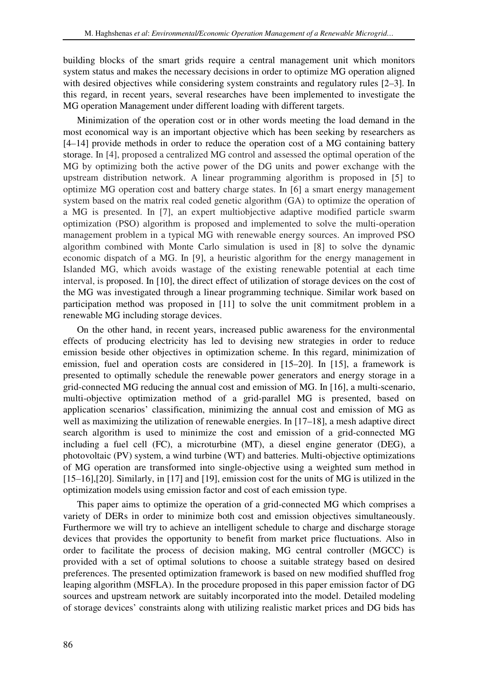building blocks of the smart grids require a central management unit which monitors system status and makes the necessary decisions in order to optimize MG operation aligned with desired objectives while considering system constraints and regulatory rules [2–3]. In this regard, in recent years, several researches have been implemented to investigate the MG operation Management under different loading with different targets.

Minimization of the operation cost or in other words meeting the load demand in the most economical way is an important objective which has been seeking by researchers as [4–14] provide methods in order to reduce the operation cost of a MG containing battery storage. In [4], proposed a centralized MG control and assessed the optimal operation of the MG by optimizing both the active power of the DG units and power exchange with the upstream distribution network. A linear programming algorithm is proposed in [5] to optimize MG operation cost and battery charge states. In [6] a smart energy management system based on the matrix real coded genetic algorithm (GA) to optimize the operation of a MG is presented. In [7], an expert multiobjective adaptive modified particle swarm optimization (PSO) algorithm is proposed and implemented to solve the multi-operation management problem in a typical MG with renewable energy sources. An improved PSO algorithm combined with Monte Carlo simulation is used in [8] to solve the dynamic economic dispatch of a MG. In [9], a heuristic algorithm for the energy management in Islanded MG, which avoids wastage of the existing renewable potential at each time interval, is proposed. In [10], the direct effect of utilization of storage devices on the cost of the MG was investigated through a linear programming technique. Similar work based on participation method was proposed in [11] to solve the unit commitment problem in a renewable MG including storage devices.

On the other hand, in recent years, increased public awareness for the environmental effects of producing electricity has led to devising new strategies in order to reduce emission beside other objectives in optimization scheme. In this regard, minimization of emission, fuel and operation costs are considered in [15–20]. In [15], a framework is presented to optimally schedule the renewable power generators and energy storage in a grid-connected MG reducing the annual cost and emission of MG. In [16], a multi-scenario, multi-objective optimization method of a grid-parallel MG is presented, based on application scenarios' classification, minimizing the annual cost and emission of MG as well as maximizing the utilization of renewable energies. In [17–18], a mesh adaptive direct search algorithm is used to minimize the cost and emission of a grid-connected MG including a fuel cell (FC), a microturbine (MT), a diesel engine generator (DEG), a photovoltaic (PV) system, a wind turbine (WT) and batteries. Multi-objective optimizations of MG operation are transformed into single-objective using a weighted sum method in [15–16],[20]. Similarly, in [17] and [19], emission cost for the units of MG is utilized in the optimization models using emission factor and cost of each emission type.

This paper aims to optimize the operation of a grid-connected MG which comprises a variety of DERs in order to minimize both cost and emission objectives simultaneously. Furthermore we will try to achieve an intelligent schedule to charge and discharge storage devices that provides the opportunity to benefit from market price fluctuations. Also in order to facilitate the process of decision making, MG central controller (MGCC) is provided with a set of optimal solutions to choose a suitable strategy based on desired preferences. The presented optimization framework is based on new modified shuffled frog leaping algorithm (MSFLA). In the procedure proposed in this paper emission factor of DG sources and upstream network are suitably incorporated into the model. Detailed modeling of storage devices' constraints along with utilizing realistic market prices and DG bids has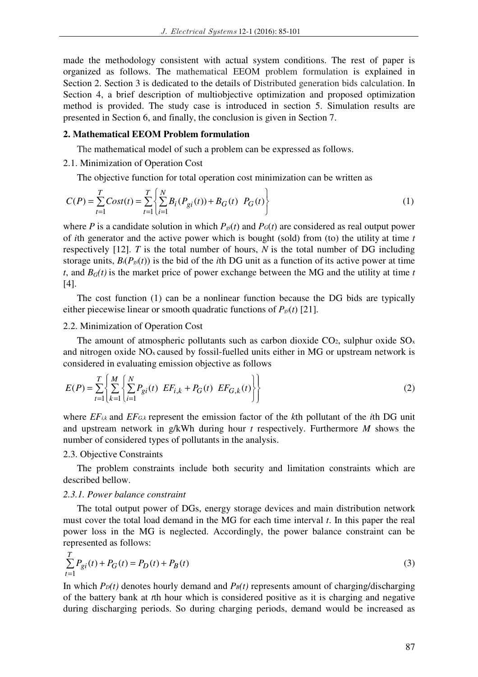made the methodology consistent with actual system conditions. The rest of paper is organized as follows. The mathematical EEOM problem formulation is explained in Section 2. Section 3 is dedicated to the details of Distributed generation bids calculation. In Section 4, a brief description of multiobjective optimization and proposed optimization method is provided. The study case is introduced in section 5. Simulation results are presented in Section 6, and finally, the conclusion is given in Section 7.

### **2. Mathematical EEOM Problem formulation**

The mathematical model of such a problem can be expressed as follows.

# 2.1. Minimization of Operation Cost

The objective function for total operation cost minimization can be written as

$$
C(P) = \sum_{t=1}^{T} Cost(t) = \sum_{t=1}^{T} \left\{ \sum_{i=1}^{N} B_i(P_{gi}(t)) + B_G(t) \ P_G(t) \right\}
$$
 (1)

where *P* is a candidate solution in which  $P_{gi}(t)$  and  $P_G(t)$  are considered as real output power of *i*th generator and the active power which is bought (sold) from (to) the utility at time *t* respectively [12]. *T* is the total number of hours, *N* is the total number of DG including storage units,  $B_i(P_{gi}(t))$  is the bid of the *i*th DG unit as a function of its active power at time *t*, and  $B_G(t)$  is the market price of power exchange between the MG and the utility at time *t* [4].

The cost function (1) can be a nonlinear function because the DG bids are typically either piecewise linear or smooth quadratic functions of *Pgi*(*t*) [21].

### 2.2. Minimization of Operation Cost

The amount of atmospheric pollutants such as carbon dioxide  $CO<sub>2</sub>$ , sulphur oxide  $SO<sub>x</sub>$ and nitrogen oxide NOx caused by fossil-fuelled units either in MG or upstream network is considered in evaluating emission objective as follows

$$
E(P) = \sum_{t=1}^{T} \left\{ \sum_{k=1}^{M} \left\{ \sum_{i=1}^{N} P_{gi}(t) \ E F_{i,k} + P_G(t) \ E F_{G,k}(t) \right\} \right\}
$$
(2)

where *EFi,k* and *EFG,k* represent the emission factor of the *k*th pollutant of the *i*th DG unit and upstream network in g/kWh during hour *t* respectively. Furthermore *M* shows the number of considered types of pollutants in the analysis.

# 2.3. Objective Constraints

The problem constraints include both security and limitation constraints which are described bellow.

# *2.3.1. Power balance constraint*

The total output power of DGs, energy storage devices and main distribution network must cover the total load demand in the MG for each time interval *t*. In this paper the real power loss in the MG is neglected. Accordingly, the power balance constraint can be represented as follows:

$$
\sum_{t=1}^{T} P_{gi}(t) + P_G(t) = P_D(t) + P_B(t)
$$
\n(3)

In which  $P_D(t)$  denotes hourly demand and  $P_B(t)$  represents amount of charging/discharging of the battery bank at *t*th hour which is considered positive as it is charging and negative during discharging periods. So during charging periods, demand would be increased as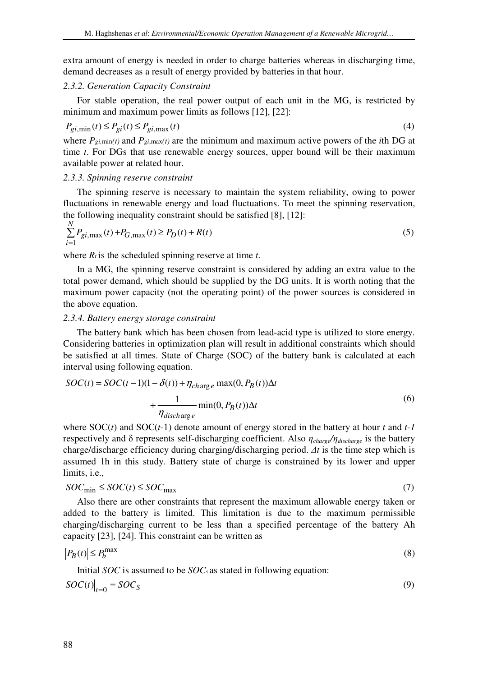extra amount of energy is needed in order to charge batteries whereas in discharging time, demand decreases as a result of energy provided by batteries in that hour.

# *2.3.2. Generation Capacity Constraint*

For stable operation, the real power output of each unit in the MG, is restricted by minimum and maximum power limits as follows [12], [22]:

$$
P_{gi, \min}(t) \le P_{gi}(t) \le P_{gi, \max}(t) \tag{4}
$$

where  $P_{\text{g}i,\text{min}(t)}$  and  $P_{\text{g}i,\text{max}(t)}$  are the minimum and maximum active powers of the *i*th DG at time *t*. For DGs that use renewable energy sources, upper bound will be their maximum available power at related hour.

# *2.3.3. Spinning reserve constraint*

The spinning reserve is necessary to maintain the system reliability, owing to power fluctuations in renewable energy and load fluctuations. To meet the spinning reservation, the following inequality constraint should be satisfied [8], [12]:

$$
\sum_{i=1}^{N} P_{gi, \max}(t) + P_{G, \max}(t) \ge P_D(t) + R(t)
$$
\n(5)

where  $R_t$  is the scheduled spinning reserve at time  $t$ .

In a MG, the spinning reserve constraint is considered by adding an extra value to the total power demand, which should be supplied by the DG units. It is worth noting that the maximum power capacity (not the operating point) of the power sources is considered in the above equation.

# *2.3.4. Battery energy storage constraint*

The battery bank which has been chosen from lead-acid type is utilized to store energy. Considering batteries in optimization plan will result in additional constraints which should be satisfied at all times. State of Charge (SOC) of the battery bank is calculated at each interval using following equation.

$$
SOC(t) = SOC(t-1)(1 - \delta(t)) + \eta_{charge} \max(0, P_B(t))\Delta t
$$

$$
+ \frac{1}{\eta_{discharge}} \min(0, P_B(t))\Delta t
$$
(6)

where SOC(*t*) and SOC(*t*-1) denote amount of energy stored in the battery at hour *t* and *t-1*  respectively and δ represents self-discharging coefficient. Also *ηcharge/ηdischarge* is the battery charge/discharge efficiency during charging/discharging period. *∆t* is the time step which is assumed 1h in this study. Battery state of charge is constrained by its lower and upper limits, i.e.,

$$
SOC_{\text{min}} \leq SOC(t) \leq SOC_{\text{max}} \tag{7}
$$

Also there are other constraints that represent the maximum allowable energy taken or added to the battery is limited. This limitation is due to the maximum permissible charging/discharging current to be less than a specified percentage of the battery Ah capacity [23], [24]. This constraint can be written as

$$
|P_B(t)| \le P_b^{\max} \tag{8}
$$

Initial *SOC* is assumed to be *SOCs* as stated in following equation:

$$
SOC(t)\big|_{t=0} = SOC_S \tag{9}
$$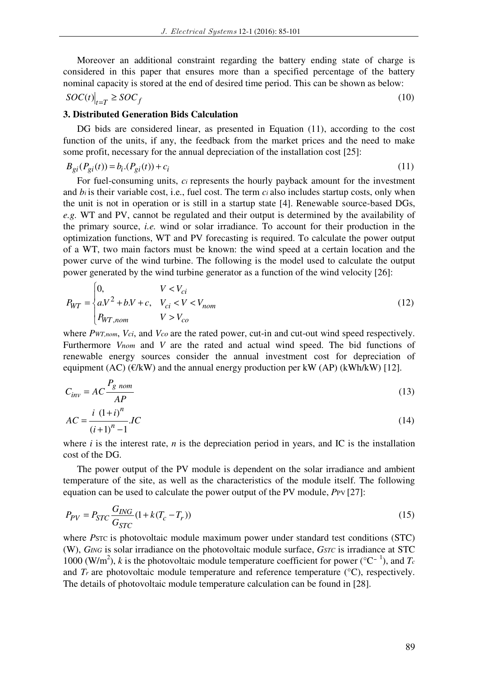Moreover an additional constraint regarding the battery ending state of charge is considered in this paper that ensures more than a specified percentage of the battery nominal capacity is stored at the end of desired time period. This can be shown as below:

$$
SOC(t)\big|_{t=T} \ge SOC_f \tag{10}
$$

# **3. Distributed Generation Bids Calculation**

DG bids are considered linear, as presented in Equation (11), according to the cost function of the units, if any, the feedback from the market prices and the need to make some profit, necessary for the annual depreciation of the installation cost [25]:

$$
B_{gi}(P_{gi}(t)) = b_i (P_{gi}(t)) + c_i
$$
\n(11)

For fuel-consuming units, *c<sub>i</sub>* represents the hourly payback amount for the investment and *bi* is their variable cost, i.e., fuel cost. The term *ci* also includes startup costs, only when the unit is not in operation or is still in a startup state [4]. Renewable source-based DGs, *e.g.* WT and PV, cannot be regulated and their output is determined by the availability of the primary source, *i.e.* wind or solar irradiance. To account for their production in the optimization functions, WT and PV forecasting is required. To calculate the power output of a WT, two main factors must be known: the wind speed at a certain location and the power curve of the wind turbine. The following is the model used to calculate the output power generated by the wind turbine generator as a function of the wind velocity [26]:

$$
P_{WT} = \begin{cases} 0, & V < V_{ci} \\ a.V^2 + b.V + c, & V_{ci} < V < V_{nom} \\ P_{WT, nom} & V > V_{co} \end{cases} \tag{12}
$$

where *PWT,nom*, *Vci*, and *Vco* are the rated power, cut-in and cut-out wind speed respectively. Furthermore *Vnom* and *V* are the rated and actual wind speed. The bid functions of renewable energy sources consider the annual investment cost for depreciation of equipment (AC) ( $\epsilon/kW$ ) and the annual energy production per kW (AP) (kWh/kW) [12].

$$
C_{inv} = AC \frac{P_{g\;nom}}{AP}
$$
\n<sup>(13)</sup>

$$
AC = \frac{i (1+i)^n}{(i+1)^n - 1} IC
$$
\n(14)

where  $i$  is the interest rate,  $n$  is the depreciation period in years, and IC is the installation cost of the DG.

The power output of the PV module is dependent on the solar irradiance and ambient temperature of the site, as well as the characteristics of the module itself. The following equation can be used to calculate the power output of the PV module, *P*PV [27]:

$$
P_{PV} = P_{STC} \frac{G_{ING}}{G_{STC}} (1 + k(T_c - T_r))
$$
\n(15)

where *Ps*TC is photovoltaic module maximum power under standard test conditions (STC) (W), *GING* is solar irradiance on the photovoltaic module surface, *GSTC* is irradiance at STC 1000 (W/m<sup>2</sup> ), *k* is the photovoltaic module temperature coefficient for power (°C<sup>−</sup> 1 ), and *T<sup>c</sup>* and  $Tr$  are photovoltaic module temperature and reference temperature  $(°C)$ , respectively. The details of photovoltaic module temperature calculation can be found in [28].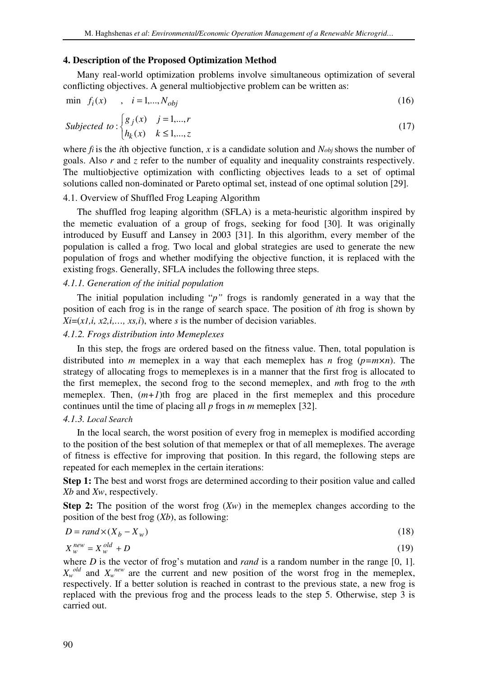### **4. Description of the Proposed Optimization Method**

Many real-world optimization problems involve simultaneous optimization of several conflicting objectives. A general multiobjective problem can be written as:

$$
\min \, f_i(x) \qquad , \quad i = 1, \dots, N_{obj} \tag{16}
$$

$$
Subjected\ to:\begin{cases} g_j(x) & j=1,\dots,r \\ h_k(x) & k \le 1,\dots,z \end{cases} \tag{17}
$$

where *fi* is the *i*th objective function, *x* is a candidate solution and *Nobj*shows the number of goals. Also *r* and *z* refer to the number of equality and inequality constraints respectively. The multiobjective optimization with conflicting objectives leads to a set of optimal solutions called non-dominated or Pareto optimal set, instead of one optimal solution [29].

# 4.1. Overview of Shuffled Frog Leaping Algorithm

The shuffled frog leaping algorithm (SFLA) is a meta-heuristic algorithm inspired by the memetic evaluation of a group of frogs, seeking for food [30]. It was originally introduced by Eusuff and Lansey in 2003 [31]. In this algorithm, every member of the population is called a frog. Two local and global strategies are used to generate the new population of frogs and whether modifying the objective function, it is replaced with the existing frogs. Generally, SFLA includes the following three steps.

### *4.1.1. Generation of the initial population*

The initial population including "*p"* frogs is randomly generated in a way that the position of each frog is in the range of search space. The position of *i*th frog is shown by  $Xi=(x1,i, x2,i,..., xs,i)$ , where *s* is the number of decision variables.

### *4.1.2. Frogs distribution into Memeplexes*

In this step, the frogs are ordered based on the fitness value. Then, total population is distributed into *m* memeplex in a way that each memeplex has *n* frog (*p=m×n*). The strategy of allocating frogs to memeplexes is in a manner that the first frog is allocated to the first memeplex, the second frog to the second memeplex, and *m*th frog to the *m*th memeplex. Then,  $(m+1)$ th frog are placed in the first memeplex and this procedure continues until the time of placing all *p* frogs in *m* memeplex [32].

# *4.1.3. Local Search*

In the local search, the worst position of every frog in memeplex is modified according to the position of the best solution of that memeplex or that of all memeplexes. The average of fitness is effective for improving that position. In this regard, the following steps are repeated for each memeplex in the certain iterations:

**Step 1:** The best and worst frogs are determined according to their position value and called *Xb* and *Xw*, respectively.

**Step 2:** The position of the worst frog  $(Xw)$  in the memeplex changes according to the position of the best frog (*Xb*), as following:

$$
D = rand \times (X_b - X_w) \tag{18}
$$

$$
X_{w}^{new} = X_{w}^{old} + D \tag{19}
$$

where *D* is the vector of frog's mutation and *rand* is a random number in the range [0, 1].  $X_w$ <sup>old</sup> and  $X_w$ <sup>new</sup> are the current and new position of the worst frog in the memeplex, respectively. If a better solution is reached in contrast to the previous state, a new frog is replaced with the previous frog and the process leads to the step 5. Otherwise, step 3 is carried out.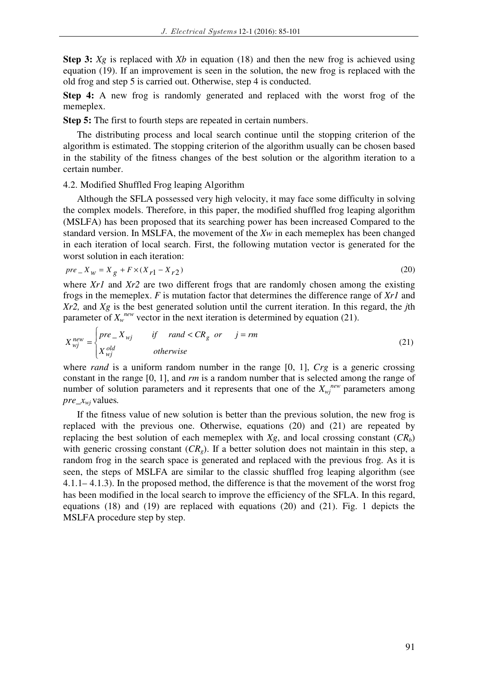**Step 3:** *Xg* is replaced with *Xb* in equation (18) and then the new frog is achieved using equation (19). If an improvement is seen in the solution, the new frog is replaced with the old frog and step 5 is carried out. Otherwise, step 4 is conducted.

**Step 4:** A new frog is randomly generated and replaced with the worst frog of the memeplex.

**Step 5:** The first to fourth steps are repeated in certain numbers.

The distributing process and local search continue until the stopping criterion of the algorithm is estimated. The stopping criterion of the algorithm usually can be chosen based in the stability of the fitness changes of the best solution or the algorithm iteration to a certain number.

4.2. Modified Shuffled Frog leaping Algorithm

Although the SFLA possessed very high velocity, it may face some difficulty in solving the complex models. Therefore, in this paper, the modified shuffled frog leaping algorithm (MSLFA) has been proposed that its searching power has been increased Compared to the standard version. In MSLFA, the movement of the *Xw* in each memeplex has been changed in each iteration of local search. First, the following mutation vector is generated for the worst solution in each iteration:

$$
pre_{-}X_{w} = X_{g} + F \times (X_{r1} - X_{r2})
$$
\n(20)

where *Xr1* and *Xr2* are two different frogs that are randomly chosen among the existing frogs in the memeplex. *F* is mutation factor that determines the difference range of *Xr1* and *Xr2,* and *Xg* is the best generated solution until the current iteration. In this regard, the *j*th parameter of  $X_w^{new}$  vector in the next iteration is determined by equation (21).

$$
X_{mj}^{new} = \begin{cases} pre\_X_{mj} & \text{if } rand < CR_g \text{ or } j = rm\\ X_{mj}^{old} & \text{otherwise} \end{cases} \tag{21}
$$

where *rand* is a uniform random number in the range [0, 1], *Crg* is a generic crossing constant in the range [0, 1], and *rm* is a random number that is selected among the range of number of solution parameters and it represents that one of the  $X_{wj}^{new}$  parameters among *pre\_xwj* values*.*

If the fitness value of new solution is better than the previous solution, the new frog is replaced with the previous one. Otherwise, equations (20) and (21) are repeated by replacing the best solution of each memeplex with  $Xg$ , and local crossing constant  $(CR_b)$ with generic crossing constant (*CRg*). If a better solution does not maintain in this step, a random frog in the search space is generated and replaced with the previous frog. As it is seen, the steps of MSLFA are similar to the classic shuffled frog leaping algorithm (see 4.1.1– 4.1.3). In the proposed method, the difference is that the movement of the worst frog has been modified in the local search to improve the efficiency of the SFLA. In this regard, equations (18) and (19) are replaced with equations (20) and (21). Fig. 1 depicts the MSLFA procedure step by step.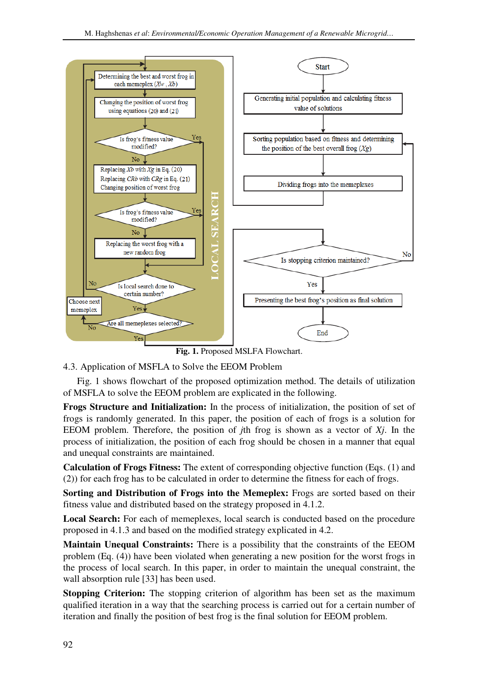

**Fig. 1.** Proposed MSLFA Flowchart.

# 4.3. Application of MSFLA to Solve the EEOM Problem

Fig. 1 shows flowchart of the proposed optimization method. The details of utilization of MSFLA to solve the EEOM problem are explicated in the following.

**Frogs Structure and Initialization:** In the process of initialization, the position of set of frogs is randomly generated. In this paper, the position of each of frogs is a solution for EEOM problem. Therefore, the position of *j*th frog is shown as a vector of *Xj*. In the process of initialization, the position of each frog should be chosen in a manner that equal and unequal constraints are maintained.

**Calculation of Frogs Fitness:** The extent of corresponding objective function (Eqs. (1) and (2)) for each frog has to be calculated in order to determine the fitness for each of frogs.

**Sorting and Distribution of Frogs into the Memeplex:** Frogs are sorted based on their fitness value and distributed based on the strategy proposed in 4.1.2.

**Local Search:** For each of memeplexes, local search is conducted based on the procedure proposed in 4.1.3 and based on the modified strategy explicated in 4.2.

**Maintain Unequal Constraints:** There is a possibility that the constraints of the EEOM problem (Eq. (4)) have been violated when generating a new position for the worst frogs in the process of local search. In this paper, in order to maintain the unequal constraint, the wall absorption rule [33] has been used.

**Stopping Criterion:** The stopping criterion of algorithm has been set as the maximum qualified iteration in a way that the searching process is carried out for a certain number of iteration and finally the position of best frog is the final solution for EEOM problem.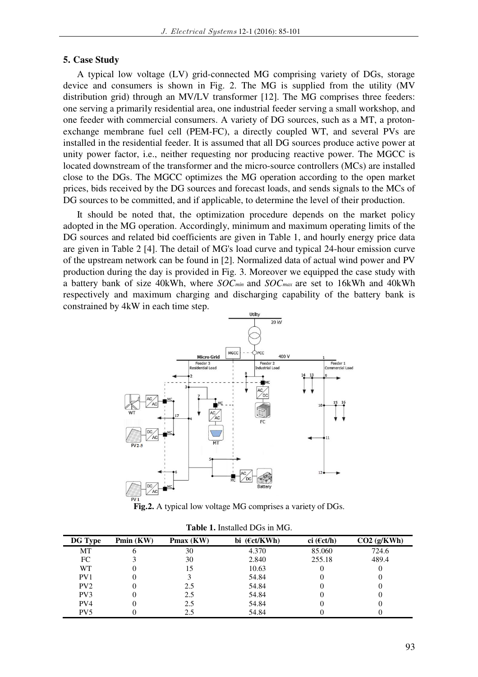### **5. Case Study**

A typical low voltage (LV) grid-connected MG comprising variety of DGs, storage device and consumers is shown in Fig. 2. The MG is supplied from the utility (MV distribution grid) through an MV/LV transformer [12]. The MG comprises three feeders: one serving a primarily residential area, one industrial feeder serving a small workshop, and one feeder with commercial consumers. A variety of DG sources, such as a MT, a protonexchange membrane fuel cell (PEM-FC), a directly coupled WT, and several PVs are installed in the residential feeder. It is assumed that all DG sources produce active power at unity power factor, i.e., neither requesting nor producing reactive power. The MGCC is located downstream of the transformer and the micro-source controllers (MCs) are installed close to the DGs. The MGCC optimizes the MG operation according to the open market prices, bids received by the DG sources and forecast loads, and sends signals to the MCs of DG sources to be committed, and if applicable, to determine the level of their production.

It should be noted that, the optimization procedure depends on the market policy adopted in the MG operation. Accordingly, minimum and maximum operating limits of the DG sources and related bid coefficients are given in Table 1, and hourly energy price data are given in Table 2 [4]. The detail of MG's load curve and typical 24-hour emission curve of the upstream network can be found in [2]. Normalized data of actual wind power and PV production during the day is provided in Fig. 3. Moreover we equipped the case study with a battery bank of size 40kWh, where *SOCmin* and *SOCmax* are set to 16kWh and 40kWh respectively and maximum charging and discharging capability of the battery bank is constrained by 4kW in each time step.



**Fig.2.** A typical low voltage MG comprises a variety of DGs.

| <b>DG</b> Type  | Pmin (KW) | Pmax (KW) | bi $(\epsilon ct/KWh)$ | ci ( $\epsilon$ ct/h) | $CO2$ (g/KWh) |
|-----------------|-----------|-----------|------------------------|-----------------------|---------------|
| MT              | h         | 30        | 4.370                  | 85.060                | 724.6         |
| FC              |           | 30        | 2.840                  | 255.18                | 489.4         |
| WТ              |           | 15        | 10.63                  |                       |               |
| PV <sub>1</sub> |           |           | 54.84                  |                       |               |
| PV2             |           | 2.5       | 54.84                  |                       |               |
| PV <sub>3</sub> |           | 2.5       | 54.84                  |                       |               |
| PV4             |           | 2.5       | 54.84                  |                       |               |
| PV <sub>5</sub> |           | 2.5       | 54.84                  |                       |               |

**Table 1.** Installed DGs in MG.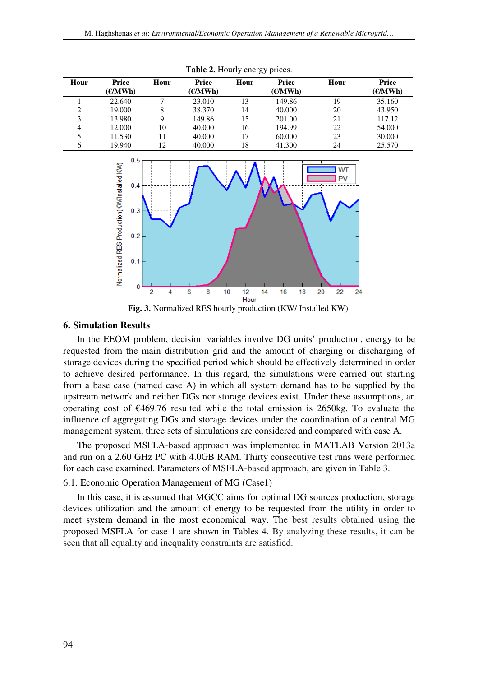| Hour         | Price<br>$\epsilon$ /MWh) | Hour | <b>Price</b><br>E/MWh | Hour | Price<br>E/MWh | Hour | <b>Price</b><br>E/MWh |
|--------------|---------------------------|------|-----------------------|------|----------------|------|-----------------------|
|              | 22.640                    |      | 23.010                | 13   | 149.86         | 19   | 35.160                |
| $\gamma$     | 19.000                    | 8    | 38.370                | 14   | 40.000         | 20   | 43.950                |
| 3            | 13.980                    | Q    | 149.86                | 15   | 201.00         | 21   | 117.12                |
| 4            | 12.000                    | 10   | 40.000                | 16   | 194.99         | 22   | 54.000                |
| 5            | 11.530                    | 11   | 40.000                | 17   | 60.000         | 23   | 30.000                |
| <sub>6</sub> | 19.940                    | 12   | 40.000                | 18   | 41.300         | 24   | 25.570                |

**Table 2.** Hourly energy prices.



**Fig. 3.** Normalized RES hourly production (KW/ Installed KW).

### **6. Simulation Results**

In the EEOM problem, decision variables involve DG units' production, energy to be requested from the main distribution grid and the amount of charging or discharging of storage devices during the specified period which should be effectively determined in order to achieve desired performance. In this regard, the simulations were carried out starting from a base case (named case A) in which all system demand has to be supplied by the upstream network and neither DGs nor storage devices exist. Under these assumptions, an operating cost of €469.76 resulted while the total emission is 2650kg. To evaluate the influence of aggregating DGs and storage devices under the coordination of a central MG management system, three sets of simulations are considered and compared with case A.

The proposed MSFLA-based approach was implemented in MATLAB Version 2013a and run on a 2.60 GHz PC with 4.0GB RAM. Thirty consecutive test runs were performed for each case examined. Parameters of MSFLA-based approach, are given in Table 3.

## 6.1. Economic Operation Management of MG (Case1)

In this case, it is assumed that MGCC aims for optimal DG sources production, storage devices utilization and the amount of energy to be requested from the utility in order to meet system demand in the most economical way. The best results obtained using the proposed MSFLA for case 1 are shown in Tables 4. By analyzing these results, it can be seen that all equality and inequality constraints are satisfied.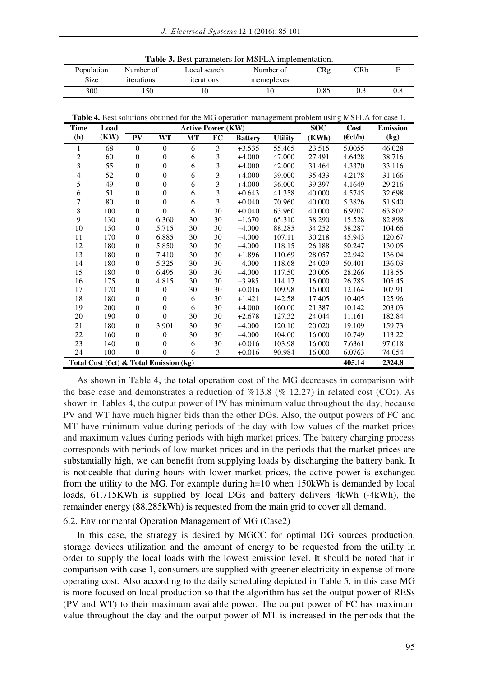| <b>Table 3.</b> Best parameters for MSFLA implementation. |  |  |
|-----------------------------------------------------------|--|--|
|-----------------------------------------------------------|--|--|

| Population | Number of  | Local search | Number of  | CRg  | 7Rb |     |
|------------|------------|--------------|------------|------|-----|-----|
| Size       | iterations | iterations   | memeplexes |      |     |     |
| 300        | .50        | 0،           |            | 0.85 |     | 0.8 |

**Table 4.** Best solutions obtained for the MG operation management problem using MSFLA for case 1.

| <b>Time</b> | Load                                              | <b>Active Power (KW)</b> |                  |    |    |                |                | <b>SOC</b> | <b>Cost</b>       | <b>Emission</b> |
|-------------|---------------------------------------------------|--------------------------|------------------|----|----|----------------|----------------|------------|-------------------|-----------------|
| (h)         | (KW)                                              | PV                       | <b>WT</b>        | MT | FC | <b>Battery</b> | <b>Utility</b> | (KWh)      | $(\epsilon ct/h)$ | (kg)            |
| 1           | 68                                                | $\mathbf{0}$             | $\mathbf{0}$     | 6  | 3  | $+3.535$       | 55.465         | 23.515     | 5.0055            | 46.028          |
| 2           | 60                                                | $\boldsymbol{0}$         | $\theta$         | 6  | 3  | $+4.000$       | 47.000         | 27.491     | 4.6428            | 38.716          |
| 3           | 55                                                | $\boldsymbol{0}$         | $\boldsymbol{0}$ | 6  | 3  | $+4.000$       | 42.000         | 31.464     | 4.3370            | 33.116          |
| 4           | 52                                                | $\theta$                 | $\mathbf{0}$     | 6  | 3  | $+4.000$       | 39.000         | 35.433     | 4.2178            | 31.166          |
| 5           | 49                                                | $\mathbf{0}$             | $\mathbf{0}$     | 6  | 3  | $+4.000$       | 36.000         | 39.397     | 4.1649            | 29.216          |
| 6           | 51                                                | $\mathbf{0}$             | $\mathbf{0}$     | 6  | 3  | $+0.643$       | 41.358         | 40.000     | 4.5745            | 32.698          |
| 7           | 80                                                | $\mathbf{0}$             | $\theta$         | 6  | 3  | $+0.040$       | 70.960         | 40.000     | 5.3826            | 51.940          |
| 8           | 100                                               | $\overline{0}$           | $\theta$         | 6  | 30 | $+0.040$       | 63.960         | 40.000     | 6.9707            | 63.802          |
| 9           | 130                                               | $\mathbf{0}$             | 6.360            | 30 | 30 | $-1.670$       | 65.310         | 38.290     | 15.528            | 82.898          |
| 10          | 150                                               | $\boldsymbol{0}$         | 5.715            | 30 | 30 | $-4.000$       | 88.285         | 34.252     | 38.287            | 104.66          |
| 11          | 170                                               | $\mathbf{0}$             | 6.885            | 30 | 30 | $-4.000$       | 107.11         | 30.218     | 45.943            | 120.67          |
| 12          | 180                                               | $\mathbf{0}$             | 5.850            | 30 | 30 | $-4.000$       | 118.15         | 26.188     | 50.247            | 130.05          |
| 13          | 180                                               | $\mathbf{0}$             | 7.410            | 30 | 30 | $+1.896$       | 110.69         | 28.057     | 22.942            | 136.04          |
| 14          | 180                                               | $\mathbf{0}$             | 5.325            | 30 | 30 | $-4.000$       | 118.68         | 24.029     | 50.401            | 136.03          |
| 15          | 180                                               | $\mathbf{0}$             | 6.495            | 30 | 30 | $-4.000$       | 117.50         | 20.005     | 28.266            | 118.55          |
| 16          | 175                                               | $\mathbf{0}$             | 4.815            | 30 | 30 | $-3.985$       | 114.17         | 16.000     | 26.785            | 105.45          |
| 17          | 170                                               | $\theta$                 | $\Omega$         | 30 | 30 | $+0.016$       | 109.98         | 16.000     | 12.164            | 107.91          |
| 18          | 180                                               | $\mathbf{0}$             | $\theta$         | 6  | 30 | $+1.421$       | 142.58         | 17.405     | 10.405            | 125.96          |
| 19          | 200                                               | $\mathbf{0}$             | $\mathbf{0}$     | 6  | 30 | $+4.000$       | 160.00         | 21.387     | 10.142            | 203.03          |
| 20          | 190                                               | $\mathbf{0}$             | $\theta$         | 30 | 30 | $+2.678$       | 127.32         | 24.044     | 11.161            | 182.84          |
| 21          | 180                                               | $\mathbf{0}$             | 3.901            | 30 | 30 | $-4.000$       | 120.10         | 20.020     | 19.109            | 159.73          |
| 22          | 160                                               | $\theta$                 | $\theta$         | 30 | 30 | $-4.000$       | 104.00         | 16.000     | 10.749            | 113.22          |
| 23          | 140                                               | $\theta$                 | $\theta$         | 6  | 30 | $+0.016$       | 103.98         | 16.000     | 7.6361            | 97.018          |
| 24          | 100                                               | $\overline{0}$           | $\overline{0}$   | 6  | 3  | $+0.016$       | 90.984         | 16.000     | 6.0763            | 74.054          |
|             | Total Cost ( $\epsilon$ ct) & Total Emission (kg) |                          |                  |    |    |                |                |            | 405.14            | 2324.8          |

As shown in Table 4, the total operation cost of the MG decreases in comparison with the base case and demonstrates a reduction of  $\%$ 13.8 ( $\%$  12.27) in related cost (CO2). As shown in Tables 4, the output power of PV has minimum value throughout the day, because PV and WT have much higher bids than the other DGs. Also, the output powers of FC and MT have minimum value during periods of the day with low values of the market prices and maximum values during periods with high market prices. The battery charging process corresponds with periods of low market prices and in the periods that the market prices are substantially high, we can benefit from supplying loads by discharging the battery bank. It is noticeable that during hours with lower market prices, the active power is exchanged from the utility to the MG. For example during h=10 when 150kWh is demanded by local loads, 61.715KWh is supplied by local DGs and battery delivers 4kWh (-4kWh), the remainder energy (88.285kWh) is requested from the main grid to cover all demand.

#### 6.2. Environmental Operation Management of MG (Case2)

In this case, the strategy is desired by MGCC for optimal DG sources production, storage devices utilization and the amount of energy to be requested from the utility in order to supply the local loads with the lowest emission level. It should be noted that in comparison with case 1, consumers are supplied with greener electricity in expense of more operating cost. Also according to the daily scheduling depicted in Table 5, in this case MG is more focused on local production so that the algorithm has set the output power of RESs (PV and WT) to their maximum available power. The output power of FC has maximum value throughout the day and the output power of MT is increased in the periods that the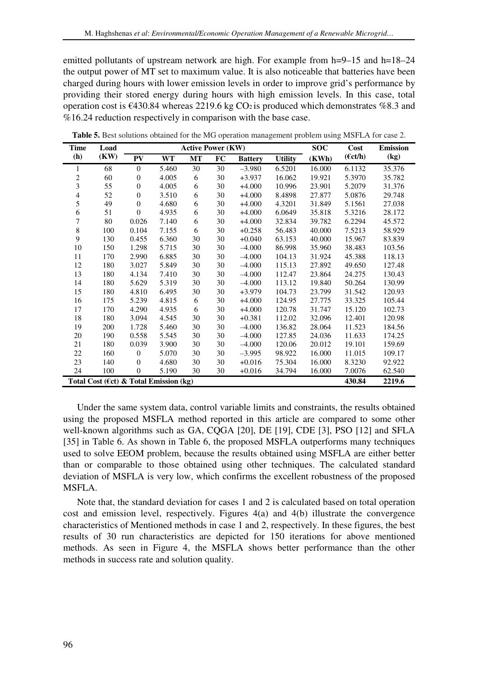emitted pollutants of upstream network are high. For example from h=9–15 and h=18–24 the output power of MT set to maximum value. It is also noticeable that batteries have been charged during hours with lower emission levels in order to improve grid's performance by providing their stored energy during hours with high emission levels. In this case, total operation cost is  $\epsilon$ 430.84 whereas 2219.6 kg CO<sub>2</sub> is produced which demonstrates %8.3 and %16.24 reduction respectively in comparison with the base case.

| <b>Time</b> | Load                                   | <b>Active Power (KW)</b> |           |           |    |                |                | <b>SOC</b> | Cost              | <b>Emission</b> |
|-------------|----------------------------------------|--------------------------|-----------|-----------|----|----------------|----------------|------------|-------------------|-----------------|
| (h)         | (KW)                                   | PV                       | <b>WT</b> | <b>MT</b> | FC | <b>Battery</b> | <b>Utility</b> | (KWh)      | $(\epsilon ct/h)$ | (kg)            |
| 1           | 68                                     | $\overline{0}$           | 5.460     | 30        | 30 | $-3.980$       | 6.5201         | 16.000     | 6.1132            | 35.376          |
| 2           | 60                                     | $\boldsymbol{0}$         | 4.005     | 6         | 30 | $+3.937$       | 16.062         | 19.921     | 5.3970            | 35.782          |
| 3           | 55                                     | $\boldsymbol{0}$         | 4.005     | 6         | 30 | $+4.000$       | 10.996         | 23.901     | 5.2079            | 31.376          |
| 4           | 52                                     | $\boldsymbol{0}$         | 3.510     | 6         | 30 | $+4.000$       | 8.4898         | 27.877     | 5.0876            | 29.748          |
| 5           | 49                                     | $\mathbf{0}$             | 4.680     | 6         | 30 | $+4.000$       | 4.3201         | 31.849     | 5.1561            | 27.038          |
| 6           | 51                                     | $\mathbf{0}$             | 4.935     | 6         | 30 | $+4.000$       | 6.0649         | 35.818     | 5.3216            | 28.172          |
| 7           | 80                                     | 0.026                    | 7.140     | 6         | 30 | $+4.000$       | 32.834         | 39.782     | 6.2294            | 45.572          |
| 8           | 100                                    | 0.104                    | 7.155     | 6         | 30 | $+0.258$       | 56.483         | 40.000     | 7.5213            | 58.929          |
| 9           | 130                                    | 0.455                    | 6.360     | 30        | 30 | $+0.040$       | 63.153         | 40.000     | 15.967            | 83.839          |
| 10          | 150                                    | 1.298                    | 5.715     | 30        | 30 | $-4.000$       | 86.998         | 35.960     | 38.483            | 103.56          |
| 11          | 170                                    | 2.990                    | 6.885     | 30        | 30 | $-4.000$       | 104.13         | 31.924     | 45.388            | 118.13          |
| 12          | 180                                    | 3.027                    | 5.849     | 30        | 30 | $-4.000$       | 115.13         | 27.892     | 49.650            | 127.48          |
| 13          | 180                                    | 4.134                    | 7.410     | 30        | 30 | $-4.000$       | 112.47         | 23.864     | 24.275            | 130.43          |
| 14          | 180                                    | 5.629                    | 5.319     | 30        | 30 | $-4.000$       | 113.12         | 19.840     | 50.264            | 130.99          |
| 15          | 180                                    | 4.810                    | 6.495     | 30        | 30 | $+3.979$       | 104.73         | 23.799     | 31.542            | 120.93          |
| 16          | 175                                    | 5.239                    | 4.815     | 6         | 30 | $+4.000$       | 124.95         | 27.775     | 33.325            | 105.44          |
| 17          | 170                                    | 4.290                    | 4.935     | 6         | 30 | $+4.000$       | 120.78         | 31.747     | 15.120            | 102.73          |
| 18          | 180                                    | 3.094                    | 4.545     | 30        | 30 | $+0.381$       | 112.02         | 32.096     | 12.401            | 120.98          |
| 19          | 200                                    | 1.728                    | 5.460     | 30        | 30 | $-4.000$       | 136.82         | 28.064     | 11.523            | 184.56          |
| 20          | 190                                    | 0.558                    | 5.545     | 30        | 30 | $-4.000$       | 127.85         | 24.036     | 11.633            | 174.25          |
| 21          | 180                                    | 0.039                    | 3.900     | 30        | 30 | $-4.000$       | 120.06         | 20.012     | 19.101            | 159.69          |
| 22          | 160                                    | $\mathbf{0}$             | 5.070     | 30        | 30 | $-3.995$       | 98.922         | 16.000     | 11.015            | 109.17          |
| 23          | 140                                    | $\theta$                 | 4.680     | 30        | 30 | $+0.016$       | 75.304         | 16.000     | 8.3230            | 92.922          |
| 24          | 100                                    | $\overline{0}$           | 5.190     | 30        | 30 | $+0.016$       | 34.794         | 16.000     | 7.0076            | 62.540          |
|             | Total Cost (€ct) & Total Emission (kg) |                          |           |           |    |                |                |            | 430.84            | 2219.6          |

**Table 5.** Best solutions obtained for the MG operation management problem using MSFLA for case 2.

Under the same system data, control variable limits and constraints, the results obtained using the proposed MSFLA method reported in this article are compared to some other well-known algorithms such as GA, CQGA [20], DE [19], CDE [3], PSO [12] and SFLA [35] in Table 6. As shown in Table 6, the proposed MSFLA outperforms many techniques used to solve EEOM problem, because the results obtained using MSFLA are either better than or comparable to those obtained using other techniques. The calculated standard deviation of MSFLA is very low, which confirms the excellent robustness of the proposed MSFLA.

Note that, the standard deviation for cases 1 and 2 is calculated based on total operation cost and emission level, respectively. Figures 4(a) and 4(b) illustrate the convergence characteristics of Mentioned methods in case 1 and 2, respectively. In these figures, the best results of 30 run characteristics are depicted for 150 iterations for above mentioned methods. As seen in Figure 4, the MSFLA shows better performance than the other methods in success rate and solution quality.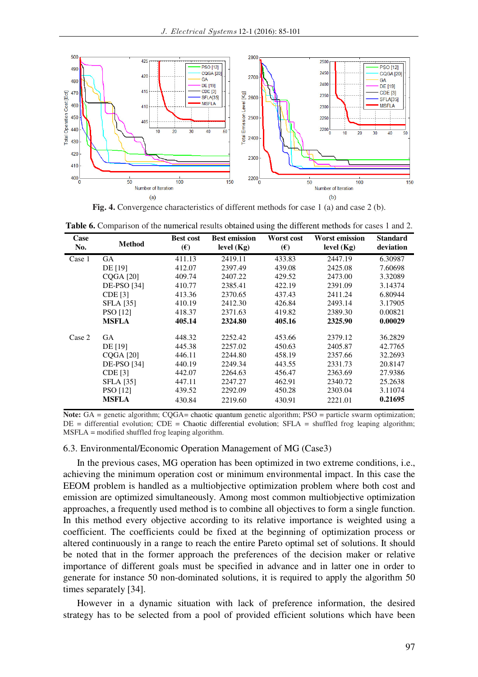

**Fig. 4.** Convergence characteristics of different methods for case 1 (a) and case 2 (b).

**Table 6.** Comparison of the numerical results obtained using the different methods for cases 1 and 2.

| Case<br>No. | <b>Method</b>      | <b>Best cost</b><br>$(\epsilon)$ | <b>Best emission</b><br>level $(Kg)$ | Worst cost<br>$(\boldsymbol{\epsilon})$ | <b>Worst emission</b><br>level $(Kg)$ | <b>Standard</b><br>deviation |
|-------------|--------------------|----------------------------------|--------------------------------------|-----------------------------------------|---------------------------------------|------------------------------|
| Case 1      | <b>GA</b>          | 411.13                           | 2419.11                              | 433.83                                  | 2447.19                               | 6.30987                      |
|             | DE [19]            | 412.07                           | 2397.49                              | 439.08                                  | 2425.08                               | 7.60698                      |
|             | $CQGA$ [20]        | 409.74                           | 2407.22                              | 429.52                                  | 2473.00                               | 3.32089                      |
|             | <b>DE-PSO</b> [34] | 410.77                           | 2385.41                              | 422.19                                  | 2391.09                               | 3.14374                      |
|             | <b>CDE</b> [3]     | 413.36                           | 2370.65                              | 437.43                                  | 2411.24                               | 6.80944                      |
|             | <b>SFLA</b> [35]   | 410.19                           | 2412.30                              | 426.84                                  | 2493.14                               | 3.17905                      |
|             | <b>PSO</b> [12]    | 418.37                           | 2371.63                              | 419.82                                  | 2389.30                               | 0.00821                      |
|             | <b>MSFLA</b>       | 405.14                           | 2324.80                              | 405.16                                  | 2325.90                               | 0.00029                      |
| Case 2      | <b>GA</b>          | 448.32                           | 2252.42                              | 453.66                                  | 2379.12                               | 36.2829                      |
|             | DE [19]            | 445.38                           | 2257.02                              | 450.63                                  | 2405.87                               | 42.7765                      |
|             | <b>COGA</b> [20]   | 446.11                           | 2244.80                              | 458.19                                  | 2357.66                               | 32.2693                      |
|             | <b>DE-PSO</b> [34] | 440.19                           | 2249.34                              | 443.55                                  | 2331.73                               | 20.8147                      |
|             | CDE [3]            | 442.07                           | 2264.63                              | 456.47                                  | 2363.69                               | 27.9386                      |
|             | <b>SFLA</b> [35]   | 447.11                           | 2247.27                              | 462.91                                  | 2340.72                               | 25.2638                      |
|             | <b>PSO</b> [12]    | 439.52                           | 2292.09                              | 450.28                                  | 2303.04                               | 3.11074                      |
|             | <b>MSFLA</b>       | 430.84                           | 2219.60                              | 430.91                                  | 2221.01                               | 0.21695                      |

**Note:** GA = genetic algorithm; CQGA= chaotic quantum genetic algorithm; PSO = particle swarm optimization;  $DE =$  differential evolution;  $CDE =$  Chaotic differential evolution;  $SFLA =$  shuffled frog leaping algorithm; MSFLA = modified shuffled frog leaping algorithm.

#### 6.3. Environmental/Economic Operation Management of MG (Case3)

In the previous cases, MG operation has been optimized in two extreme conditions, i.e., achieving the minimum operation cost or minimum environmental impact. In this case the EEOM problem is handled as a multiobjective optimization problem where both cost and emission are optimized simultaneously. Among most common multiobjective optimization approaches, a frequently used method is to combine all objectives to form a single function. In this method every objective according to its relative importance is weighted using a coefficient. The coefficients could be fixed at the beginning of optimization process or altered continuously in a range to reach the entire Pareto optimal set of solutions. It should be noted that in the former approach the preferences of the decision maker or relative importance of different goals must be specified in advance and in latter one in order to generate for instance 50 non-dominated solutions, it is required to apply the algorithm 50 times separately [34].

However in a dynamic situation with lack of preference information, the desired strategy has to be selected from a pool of provided efficient solutions which have been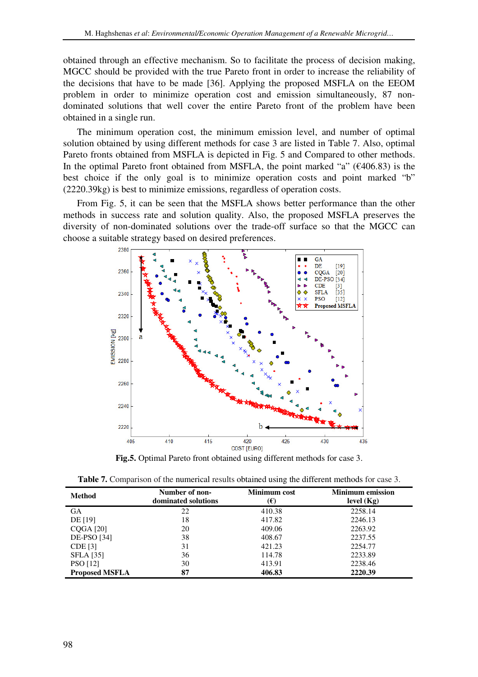obtained through an effective mechanism. So to facilitate the process of decision making, MGCC should be provided with the true Pareto front in order to increase the reliability of the decisions that have to be made [36]. Applying the proposed MSFLA on the EEOM problem in order to minimize operation cost and emission simultaneously, 87 nondominated solutions that well cover the entire Pareto front of the problem have been obtained in a single run.

The minimum operation cost, the minimum emission level, and number of optimal solution obtained by using different methods for case 3 are listed in Table 7. Also, optimal Pareto fronts obtained from MSFLA is depicted in Fig. 5 and Compared to other methods. In the optimal Pareto front obtained from MSFLA, the point marked "a"  $(\text{\textsterling}406.83)$  is the best choice if the only goal is to minimize operation costs and point marked "b" (2220.39kg) is best to minimize emissions, regardless of operation costs.

From Fig. 5, it can be seen that the MSFLA shows better performance than the other methods in success rate and solution quality. Also, the proposed MSFLA preserves the diversity of non-dominated solutions over the trade-off surface so that the MGCC can choose a suitable strategy based on desired preferences.



**Fig.5.** Optimal Pareto front obtained using different methods for case 3.

| <b>Table 7.</b> Comparison of the numerical results obtained using the different methods for case 3. |  |  |  |  |  |  |
|------------------------------------------------------------------------------------------------------|--|--|--|--|--|--|
|                                                                                                      |  |  |  |  |  |  |

| Method                | Number of non-<br>dominated solutions | Minimum cost<br>$(\pmb{\epsilon})$ | <b>Minimum</b> emission<br>level $(Kg)$ |
|-----------------------|---------------------------------------|------------------------------------|-----------------------------------------|
| <b>GA</b>             | 22                                    | 410.38                             | 2258.14                                 |
| DE [19]               | 18                                    | 417.82                             | 2246.13                                 |
| $CQGA$ [20]           | 20                                    | 409.06                             | 2263.92                                 |
| <b>DE-PSO</b> [34]    | 38                                    | 408.67                             | 2237.55                                 |
| <b>CDE</b> [3]        | 31                                    | 421.23                             | 2254.77                                 |
| <b>SFLA</b> [35]      | 36                                    | 114.78                             | 2233.89                                 |
| <b>PSO</b> [12]       | 30                                    | 413.91                             | 2238.46                                 |
| <b>Proposed MSFLA</b> | 87                                    | 406.83                             | 2220.39                                 |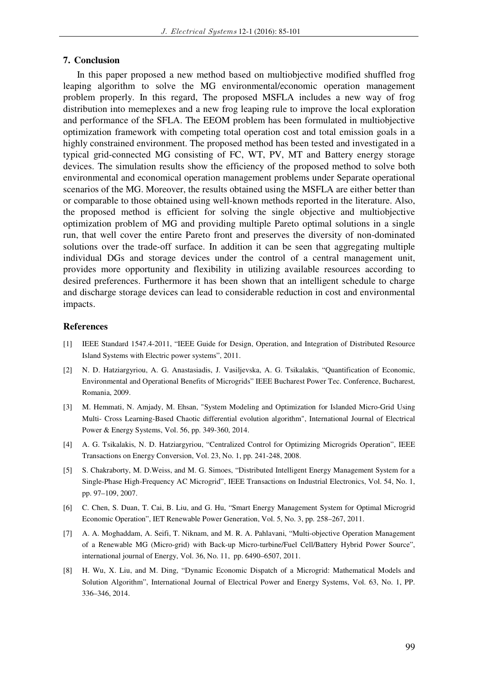### **7. Conclusion**

In this paper proposed a new method based on multiobjective modified shuffled frog leaping algorithm to solve the MG environmental/economic operation management problem properly. In this regard, The proposed MSFLA includes a new way of frog distribution into memeplexes and a new frog leaping rule to improve the local exploration and performance of the SFLA. The EEOM problem has been formulated in multiobjective optimization framework with competing total operation cost and total emission goals in a highly constrained environment. The proposed method has been tested and investigated in a typical grid-connected MG consisting of FC, WT, PV, MT and Battery energy storage devices. The simulation results show the efficiency of the proposed method to solve both environmental and economical operation management problems under Separate operational scenarios of the MG. Moreover, the results obtained using the MSFLA are either better than or comparable to those obtained using well-known methods reported in the literature. Also, the proposed method is efficient for solving the single objective and multiobjective optimization problem of MG and providing multiple Pareto optimal solutions in a single run, that well cover the entire Pareto front and preserves the diversity of non-dominated solutions over the trade-off surface. In addition it can be seen that aggregating multiple individual DGs and storage devices under the control of a central management unit, provides more opportunity and flexibility in utilizing available resources according to desired preferences. Furthermore it has been shown that an intelligent schedule to charge and discharge storage devices can lead to considerable reduction in cost and environmental impacts.

#### **References**

- [1] IEEE Standard 1547.4-2011, "IEEE Guide for Design, Operation, and Integration of Distributed Resource Island Systems with Electric power systems", 2011.
- [2] N. D. Hatziargyriou, A. G. Anastasiadis, J. Vasiljevska, A. G. Tsikalakis, "Quantification of Economic, Environmental and Operational Benefits of Microgrids" IEEE Bucharest Power Tec. Conference, Bucharest, Romania, 2009.
- [3] M. Hemmati, N. Amjady, M. Ehsan, "System Modeling and Optimization for Islanded Micro-Grid Using Multi- Cross Learning-Based Chaotic differential evolution algorithm", International Journal of Electrical Power & Energy Systems, Vol. 56, pp. 349-360, 2014.
- [4] A. G. Tsikalakis, N. D. Hatziargyriou, "Centralized Control for Optimizing Microgrids Operation", IEEE Transactions on Energy Conversion, Vol. 23, No. 1, pp. 241-248, 2008.
- [5] S. Chakraborty, M. D.Weiss, and M. G. Simoes, "Distributed Intelligent Energy Management System for a Single-Phase High-Frequency AC Microgrid", IEEE Transactions on Industrial Electronics, Vol. 54, No. 1, pp. 97–109, 2007.
- [6] C. Chen, S. Duan, T. Cai, B. Liu, and G. Hu, "Smart Energy Management System for Optimal Microgrid Economic Operation", IET Renewable Power Generation, Vol. 5, No. 3, pp. 258–267, 2011.
- [7] A. A. Moghaddam, A. Seifi, T. Niknam, and M. R. A. Pahlavani, "Multi-objective Operation Management of a Renewable MG (Micro-grid) with Back-up Micro-turbine/Fuel Cell/Battery Hybrid Power Source", international journal of Energy, Vol. 36, No. 11, pp. 6490–6507, 2011.
- [8] H. Wu, X. Liu, and M. Ding, "Dynamic Economic Dispatch of a Microgrid: Mathematical Models and Solution Algorithm", International Journal of Electrical Power and Energy Systems, Vol. 63, No. 1, PP. 336–346, 2014.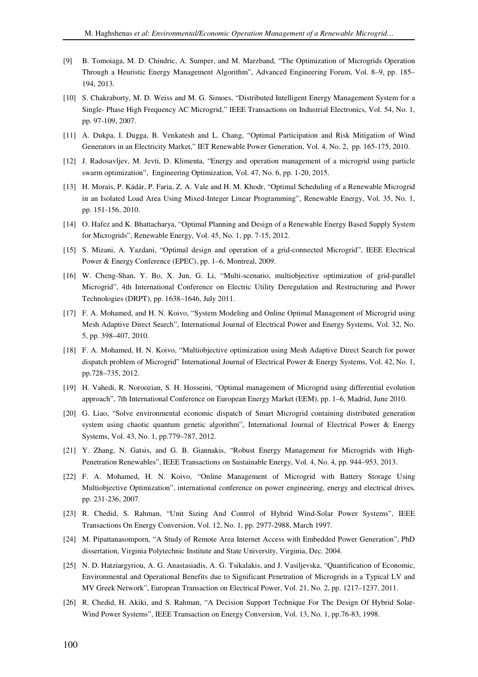- [9] B. Tomoiaga, M. D. Chindric, A. Sumper, and M. Marzband, "The Optimization of Microgrids Operation Through a Heuristic Energy Management Algorithm", Advanced Engineering Forum, Vol. 8–9, pp. 185– 194, 2013.
- [10] S. Chakraborty, M. D. Weiss and M. G. Simoes, "Distributed Intelligent Energy Management System for a Single- Phase High Frequency AC Microgrid," IEEE Transactions on Industrial Electronics, Vol. 54, No. 1, pp. 97-109, 2007.
- [11] A. Dukpa, I. Dugga, B. Venkatesh and L. Chang, "Optimal Participation and Risk Mitigation of Wind Generators in an Electricity Market," IET Renewable Power Generation, Vol. 4, No. 2, pp. 165-175, 2010.
- [12] J. Radosavljev, M. Jevti, D. Klimenta, "Energy and operation management of a microgrid using particle swarm optimization", Engineering Optimization, Vol. 47, No. 6, pp. 1-20, 2015.
- [13] H. Morais, P. Kádár, P. Faria, Z. A. Vale and H. M. Khodr, "Optimal Scheduling of a Renewable Microgrid in an Isolated Load Area Using Mixed-Integer Linear Programming", Renewable Energy, Vol. 35, No. 1, pp. 151-156, 2010.
- [14] O. Hafez and K. Bhattacharya, "Optimal Planning and Design of a Renewable Energy Based Supply System for Microgrids", Renewable Energy, Vol. 45, No. 1, pp. 7-15, 2012.
- [15] S. Mizani, A. Yazdani, "Optimal design and operation of a grid-connected Microgrid", IEEE Electrical Power & Energy Conference (EPEC), pp. 1–6, Montreal, 2009.
- [16] W. Cheng-Shan, Y. Bo, X. Jun, G. Li, "Multi-scenario, multiobjective optimization of grid-parallel Microgrid", 4th International Conference on Electric Utility Deregulation and Restructuring and Power Technologies (DRPT), pp. 1638–1646, July 2011.
- [17] F. A. Mohamed, and H. N. Koivo, "System Modeling and Online Optimal Management of Microgrid using Mesh Adaptive Direct Search", International Journal of Electrical Power and Energy Systems, Vol. 32, No. 5, pp. 398–407, 2010.
- [18] F. A. Mohamed, H. N. Koivo, "Multiobjective optimization using Mesh Adaptive Direct Search for power dispatch problem of Microgrid" International Journal of Electrical Power & Energy Systems, Vol. 42, No. 1, pp.728–735, 2012.
- [19] H. Vahedi, R. Noroozian, S. H. Hosseini, "Optimal management of Microgrid using differential evolution approach", 7th International Conference on European Energy Market (EEM), pp. 1–6, Madrid, June 2010.
- [20] G. Liao, "Solve environmental economic dispatch of Smart Microgrid containing distributed generation system using chaotic quantum genetic algorithm", International Journal of Electrical Power & Energy Systems, Vol. 43, No. 1, pp.779–787, 2012.
- [21] Y. Zhang, N. Gatsis, and G. B. Giannakis, "Robust Energy Management for Microgrids with High-Penetration Renewables", IEEE Transactions on Sustainable Energy, Vol. 4, No. 4, pp. 944–953, 2013.
- [22] F. A. Mohamed, H. N. Koivo, "Online Management of Microgrid with Battery Storage Using Multiobjective Optimization", international conference on power engineering, energy and electrical drives, pp. 231-236, 2007.
- [23] R. Chedid, S. Rahman, "Unit Sizing And Control of Hybrid Wind-Solar Power Systems", IEEE Transactions On Energy Conversion, Vol. 12, No. 1, pp. 2977-2988, March 1997.
- [24] M. Pipattanasomporn, "A Study of Remote Area Internet Access with Embedded Power Generation", PhD dissertation, Virginia Polytechnic Institute and State University, Virginia, Dec. 2004.
- [25] N. D. Hatziargyriou, A. G. Anastasiadis, A. G. Tsikalakis, and J. Vasiljevska, "Quantification of Economic, Environmental and Operational Benefits due to Significant Penetration of Microgrids in a Typical LV and MV Greek Network", European Transaction on Electrical Power, Vol. 21, No. 2, pp. 1217–1237, 2011.
- [26] R. Chedid, H. Akiki, and S. Rahman, "A Decision Support Technique For The Design Of Hybrid Solar-Wind Power Systems", IEEE Transaction on Energy Conversion, Vol. 13, No. 1, pp.76-83, 1998.